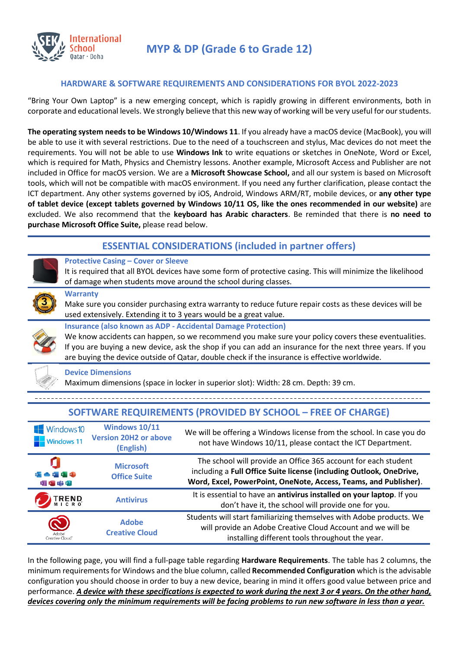

**MYP & DP (Grade 6 to Grade 12)**

## **HARDWARE & SOFTWARE REQUIREMENTS AND CONSIDERATIONS FOR BYOL 2022-2023**

"Bring Your Own Laptop" is a new emerging concept, which is rapidly growing in different environments, both in corporate and educational levels. We strongly believe that this new way of working will be very useful for our students.

**The operating system needs to be Windows 10/Windows 11**. If you already have a macOS device (MacBook), you will be able to use it with several restrictions. Due to the need of a touchscreen and stylus, Mac devices do not meet the requirements. You will not be able to use **Windows Ink** to write equations or sketches in OneNote, Word or Excel, which is required for Math, Physics and Chemistry lessons. Another example, Microsoft Access and Publisher are not included in Office for macOS version. We are a **Microsoft Showcase School,** and all our system is based on Microsoft tools, which will not be compatible with macOS environment. If you need any further clarification, please contact the ICT department. Any other systems governed by iOS, Android, Windows ARM/RT, mobile devices, or **any other type of tablet device (except tablets governed by Windows 10/11 OS, like the ones recommended in our website)** are excluded. We also recommend that the **keyboard has Arabic characters**. Be reminded that there is **no need to purchase Microsoft Office Suite,** please read below.

## **ESSENTIAL CONSIDERATIONS (included in partner offers)**



### **Protective Casing – Cover or Sleeve**

It is required that all BYOL devices have some form of protective casing. This will minimize the likelihood of damage when students move around the school during classes.

#### **Warranty**



Make sure you consider purchasing extra warranty to reduce future repair costs as these devices will be used extensively. Extending it to 3 years would be a great value.

### **Insurance (also known as ADP - Accidental Damage Protection)**

We know accidents can happen, so we recommend you make sure your policy covers these eventualities. If you are buying a new device, ask the shop if you can add an insurance for the next three years. If you are buying the device outside of Qatar, double check if the insurance is effective worldwide.



### **Device Dimensions**

Maximum dimensions (space in locker in superior slot): Width: 28 cm. Depth: 39 cm.

| $\blacksquare$ Windows 10<br>$\blacksquare$ Windows 11 | <b>Windows 10/11</b><br><b>Version 20H2 or above</b><br>(English) | We will be offering a Windows license from the school. In case you do<br>not have Windows 10/11, please contact the ICT Department.                                                                       |  |  |
|--------------------------------------------------------|-------------------------------------------------------------------|-----------------------------------------------------------------------------------------------------------------------------------------------------------------------------------------------------------|--|--|
| <b>DUCCINER</b><br>$N$ $A$ $I$ $I$ $I$                 | <b>Microsoft</b><br><b>Office Suite</b>                           | The school will provide an Office 365 account for each student<br>including a Full Office Suite license (including Outlook, OneDrive,<br>Word, Excel, PowerPoint, OneNote, Access, Teams, and Publisher). |  |  |
| <b>TREND</b>                                           | <b>Antivirus</b>                                                  | It is essential to have an antivirus installed on your laptop. If you<br>don't have it, the school will provide one for you.                                                                              |  |  |
| Adobe'<br>Creative Cloud                               | <b>Adobe</b><br><b>Creative Cloud</b>                             | Students will start familiarizing themselves with Adobe products. We<br>will provide an Adobe Creative Cloud Account and we will be<br>installing different tools throughout the year.                    |  |  |

# **SOFTWARE REQUIREMENTS (PROVIDED BY SCHOOL – FREE OF CHARGE)**

In the following page, you will find a full-page table regarding **Hardware Requirements**. The table has 2 columns, the minimum requirements for Windows and the blue column, called **Recommended Configuration** which is the advisable configuration you should choose in order to buy a new device, bearing in mind it offers good value between price and performance. *A device with these specifications is expected to work during the next 3 or 4 years. On the other hand, devices covering only the minimum requirements will be facing problems to run new software in less than a year.*